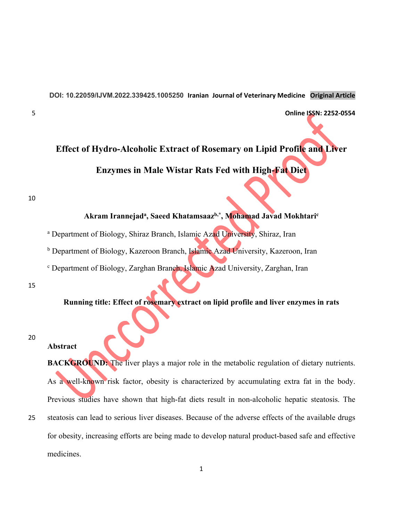**DOI: 10.22059/IJVM.2022.339425.1005250 Iranian Journal of Veterinary Medicine Original Article** 

5 **Online ISSN: 2252‐0554**

## **Effect of Hydro-Alcoholic Extract of Rosemary on Lipid Profile and Liver Enzymes in Male Wistar Rats Fed with High-Fat Diet**

10

# **Akram Irannejada, Saeed Khatamsaazb,\*, Mohamad Javad Mokhtaric**  <sup>a</sup> Department of Biology, Shiraz Branch, Islamic Azad University, Shiraz, Iran <sup>b</sup> Department of Biology, Kazeroon Branch, Islamic Azad University, Kazeroon, Iran <sup>c</sup> Department of Biology, Zarghan Branch, Islamic Azad University, Zarghan, Iran

15

#### **Running title: Effect of rosemary extract on lipid profile and liver enzymes in rats**

20

#### **Abstract**

**BACKGROUND:** The liver plays a major role in the metabolic regulation of dietary nutrients. As a well-known risk factor, obesity is characterized by accumulating extra fat in the body. Previous studies have shown that high-fat diets result in non-alcoholic hepatic steatosis. The 25 steatosis can lead to serious liver diseases. Because of the adverse effects of the available drugs for obesity, increasing efforts are being made to develop natural product-based safe and effective medicines.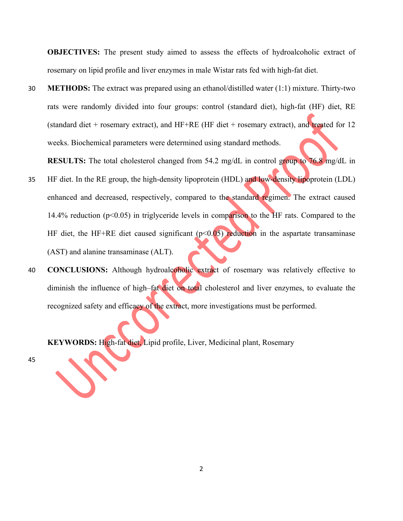**OBJECTIVES:** The present study aimed to assess the effects of hydroalcoholic extract of rosemary on lipid profile and liver enzymes in male Wistar rats fed with high-fat diet.

30 **METHODS:** The extract was prepared using an ethanol/distilled water (1:1) mixture. Thirty-two rats were randomly divided into four groups: control (standard diet), high-fat (HF) diet, RE (standard diet + rosemary extract), and  $HF+RE$  (HF diet + rosemary extract), and treated for 12 weeks. Biochemical parameters were determined using standard methods.

**RESULTS:** The total cholesterol changed from 54.2 mg/dL in control group to 76.8 mg/dL in

- 35 HF diet. In the RE group, the high-density lipoprotein (HDL) and low-density lipoprotein (LDL) enhanced and decreased, respectively, compared to the standard regimen. The extract caused 14.4% reduction (p<0.05) in triglyceride levels in comparison to the HF rats. Compared to the HF diet, the HF+RE diet caused significant  $(p<0.05)$  reduction in the aspartate transaminase (AST) and alanine transaminase (ALT).
- 40 **CONCLUSIONS:** Although hydroalcoholic extract of rosemary was relatively effective to diminish the influence of high–fat diet on total cholesterol and liver enzymes, to evaluate the recognized safety and efficacy of the extract, more investigations must be performed.

**KEYWORDS:** High-fat diet, Lipid profile, Liver, Medicinal plant, Rosemary

45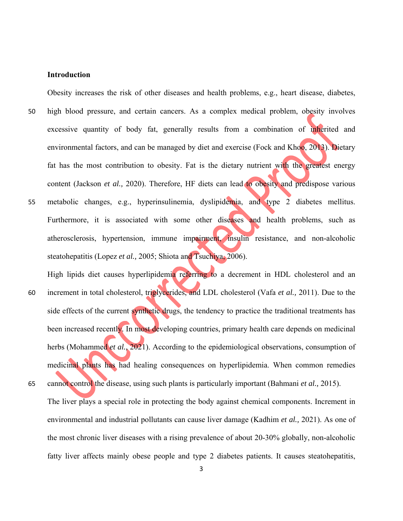#### **Introduction**

Obesity increases the risk of other diseases and health problems, e.g., heart disease, diabetes, 50 high blood pressure, and certain cancers. As a complex medical problem, obesity involves excessive quantity of body fat, generally results from a combination of inherited and environmental factors, and can be managed by diet and exercise (Fock and Khoo, 2013). Dietary fat has the most contribution to obesity. Fat is the dietary nutrient with the greatest energy content (Jackson *et al.*, 2020). Therefore, HF diets can lead to obesity and predispose various 55 metabolic changes, e.g., hyperinsulinemia, dyslipidemia, and type 2 diabetes mellitus. Furthermore, it is associated with some other diseases and health problems, such as atherosclerosis, hypertension, immune impairment, insulin resistance, and non-alcoholic steatohepatitis (Lopez *et al.,* 2005; Shiota and Tsuchiya, 2006).

High lipids diet causes hyperlipidemia referring to a decrement in HDL cholesterol and an 60 increment in total cholesterol, triglycerides, and LDL cholesterol (Vafa *et al.,* 2011). Due to the side effects of the current synthetic drugs, the tendency to practice the traditional treatments has been increased recently. In most developing countries, primary health care depends on medicinal herbs (Mohammed *et al.*, 2021). According to the epidemiological observations, consumption of medicinal plants has had healing consequences on hyperlipidemia. When common remedies

65 cannot control the disease, using such plants is particularly important (Bahmani *et al.,* 2015). The liver plays a special role in protecting the body against chemical components. Increment in environmental and industrial pollutants can cause liver damage (Kadhim *et al.,* 2021). As one of the most chronic liver diseases with a rising prevalence of about 20-30% globally, non-alcoholic fatty liver affects mainly obese people and type 2 diabetes patients. It causes steatohepatitis,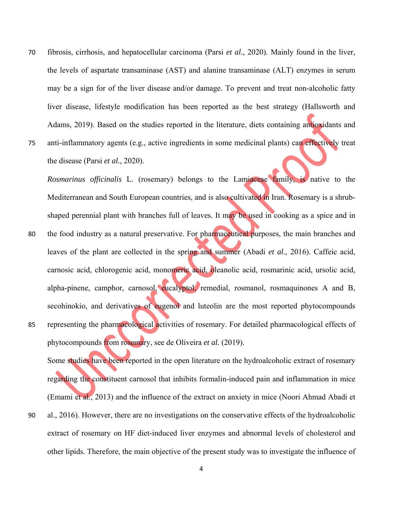- 70 fibrosis, cirrhosis, and hepatocellular carcinoma (Parsi *et al.,* 2020). Mainly found in the liver, the levels of aspartate transaminase (AST) and alanine transaminase (ALT) enzymes in serum may be a sign for of the liver disease and/or damage. To prevent and treat non-alcoholic fatty liver disease, lifestyle modification has been reported as the best strategy (Hallsworth and Adams, 2019). Based on the studies reported in the literature, diets containing antioxidants and
- 75 anti-inflammatory agents (e.g., active ingredients in some medicinal plants) can effectively treat the disease (Parsi *et al.,* 2020).

*Rosmarinus officinalis* L. (rosemary) belongs to the Lamiaceae family, is native to the Mediterranean and South European countries, and is also cultivated in Iran. Rosemary is a shrubshaped perennial plant with branches full of leaves. It may be used in cooking as a spice and in

80 the food industry as a natural preservative. For pharmaceutical purposes, the main branches and leaves of the plant are collected in the spring and summer (Abadi *et al.,* 2016). Caffeic acid, carnosic acid, chlorogenic acid, monomeric acid, oleanolic acid, rosmarinic acid, ursolic acid, alpha-pinene, camphor, carnosol, eucalyptol, remedial, rosmanol, rosmaquinones A and B, secohinokio, and derivatives of eugenol and luteolin are the most reported phytocompounds 85 representing the pharmacological activities of rosemary. For detailed pharmacological effects of phytocompounds from rosemary, see de Oliveira *et al.* (2019).

Some studies have been reported in the open literature on the hydroalcoholic extract of rosemary regarding the constituent carnosol that inhibits formalin-induced pain and inflammation in mice (Emami et al., 2013) and the influence of the extract on anxiety in mice (Noori Ahmad Abadi et 90 al., 2016). However, there are no investigations on the conservative effects of the hydroalcoholic

extract of rosemary on HF diet-induced liver enzymes and abnormal levels of cholesterol and other lipids. Therefore, the main objective of the present study was to investigate the influence of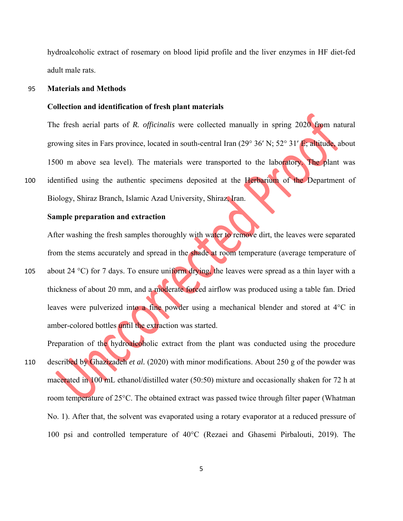hydroalcoholic extract of rosemary on blood lipid profile and the liver enzymes in HF diet-fed adult male rats.

#### 95 **Materials and Methods**

#### **Collection and identification of fresh plant materials**

The fresh aerial parts of *R. officinalis* were collected manually in spring 2020 from natural growing sites in Fars province, located in south-central Iran (29 $^{\circ}$  36' N; 52 $^{\circ}$  31' E; altitude, about 1500 m above sea level). The materials were transported to the laboratory. The plant was 100 identified using the authentic specimens deposited at the Herbarium of the Department of Biology, Shiraz Branch, Islamic Azad University, Shiraz, Iran.

#### **Sample preparation and extraction**

After washing the fresh samples thoroughly with water to remove dirt, the leaves were separated from the stems accurately and spread in the shade at room temperature (average temperature of

105 about 24 °C) for 7 days. To ensure uniform drying, the leaves were spread as a thin layer with a thickness of about 20 mm, and a moderate forced airflow was produced using a table fan. Dried leaves were pulverized into a fine powder using a mechanical blender and stored at 4°C in amber-colored bottles until the extraction was started.

Preparation of the hydroalcoholic extract from the plant was conducted using the procedure 110 described by Ghazizadeh *et al.* (2020) with minor modifications. About 250 g of the powder was macerated in 100 mL ethanol/distilled water (50:50) mixture and occasionally shaken for 72 h at room temperature of 25°C. The obtained extract was passed twice through filter paper (Whatman No. 1). After that, the solvent was evaporated using a rotary evaporator at a reduced pressure of 100 psi and controlled temperature of 40°C (Rezaei and Ghasemi Pirbalouti, 2019). The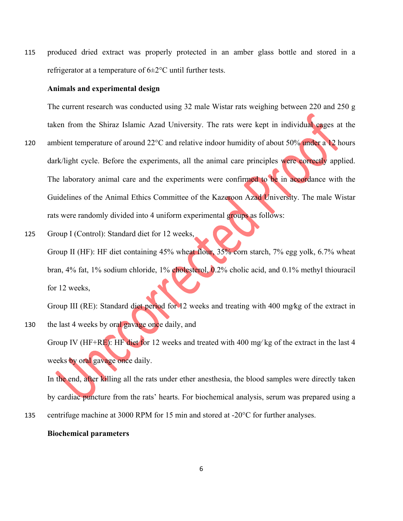115 produced dried extract was properly protected in an amber glass bottle and stored in a refrigerator at a temperature of 6±2°C until further tests.

#### **Animals and experimental design**

The current research was conducted using 32 male Wistar rats weighing between 220 and 250 g taken from the Shiraz Islamic Azad University. The rats were kept in individual cages at the

- 120 ambient temperature of around 22°C and relative indoor humidity of about 50% under a 12 hours dark/light cycle. Before the experiments, all the animal care principles were correctly applied. The laboratory animal care and the experiments were confirmed to be in accordance with the Guidelines of the Animal Ethics Committee of the Kazeroon Azad University. The male Wistar rats were randomly divided into 4 uniform experimental groups as follows:
- 125 Group I (Control): Standard diet for 12 weeks, Group II (HF): HF diet containing 45% wheat flour, 35% corn starch, 7% egg yolk, 6.7% wheat bran, 4% fat, 1% sodium chloride, 1% cholesterol, 0.2% cholic acid, and 0.1% methyl thiouracil for 12 weeks,

Group III (RE): Standard diet period for 12 weeks and treating with 400 mg∕kg of the extract in 130 the last 4 weeks by oral gavage once daily, and

Group IV (HF+RE): HF diet for 12 weeks and treated with 400 mg∕ kg of the extract in the last 4 weeks by oral gavage once daily.

In the end, after killing all the rats under ether anesthesia, the blood samples were directly taken by cardiac puncture from the rats' hearts. For biochemical analysis, serum was prepared using a 135 centrifuge machine at 3000 RPM for 15 min and stored at -20°C for further analyses.

#### **Biochemical parameters**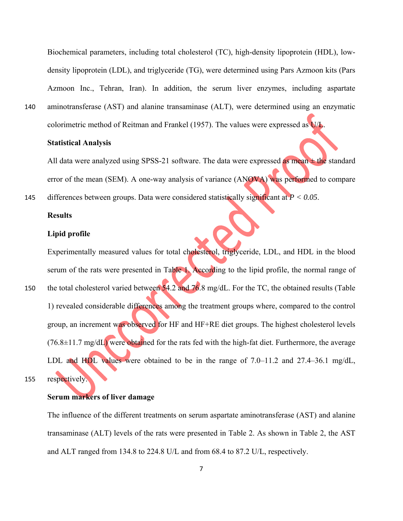Biochemical parameters, including total cholesterol (TC), high-density lipoprotein (HDL), lowdensity lipoprotein (LDL), and triglyceride (TG), were determined using Pars Azmoon kits (Pars Azmoon Inc., Tehran, Iran). In addition, the serum liver enzymes, including aspartate 140 aminotransferase (AST) and alanine transaminase (ALT), were determined using an enzymatic

colorimetric method of Reitman and Frankel (1957). The values were expressed as U/L.

#### **Statistical Analysis**

All data were analyzed using SPSS-21 software. The data were expressed as mean  $\pm$  the standard error of the mean (SEM). A one-way analysis of variance (ANOVA) was performed to compare

145 differences between groups. Data were considered statistically significant at *P < 0.05*.

#### **Results**

#### **Lipid profile**

Experimentally measured values for total cholesterol, triglyceride, LDL, and HDL in the blood serum of the rats were presented in Table 1. According to the lipid profile, the normal range of 150 the total cholesterol varied between 54.2 and 76.8 mg/dL. For the TC, the obtained results (Table 1) revealed considerable differences among the treatment groups where, compared to the control group, an increment was observed for HF and HF+RE diet groups. The highest cholesterol levels  $(76.8\pm11.7 \text{ mg/dL})$  were obtained for the rats fed with the high-fat diet. Furthermore, the average LDL and HDL values were obtained to be in the range of  $7.0-11.2$  and  $27.4-36.1$  mg/dL, 155 respectively.

#### **Serum markers of liver damage**

The influence of the different treatments on serum aspartate aminotransferase (AST) and alanine transaminase (ALT) levels of the rats were presented in Table 2. As shown in Table 2, the AST and ALT ranged from 134.8 to 224.8 U/L and from 68.4 to 87.2 U/L, respectively.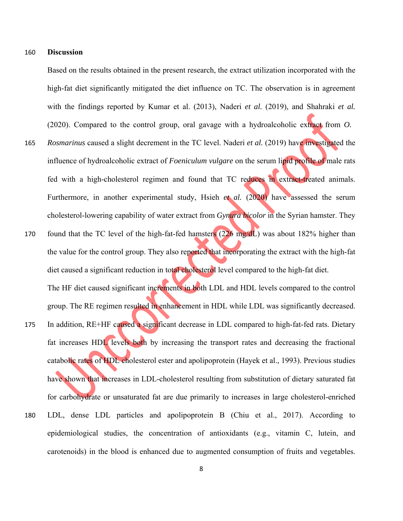#### 160 **Discussion**

Based on the results obtained in the present research, the extract utilization incorporated with the high-fat diet significantly mitigated the diet influence on TC. The observation is in agreement with the findings reported by Kumar et al. (2013), Naderi *et al.* (2019), and Shahraki *et al.* (2020). Compared to the control group, oral gavage with a hydroalcoholic extract from *O.*

- 165 *Rosmarinus* caused a slight decrement in the TC level. Naderi *et al.* (2019) have investigated the influence of hydroalcoholic extract of *Foeniculum vulgare* on the serum lipid profile of male rats fed with a high-cholesterol regimen and found that TC reduces in extract-treated animals. Furthermore, in another experimental study, Hsieh *et al.* (2020) have assessed the serum cholesterol-lowering capability of water extract from *Gynura bicolor* in the Syrian hamster. They
- 170 found that the TC level of the high-fat-fed hamsters (226 mg/dL) was about 182% higher than the value for the control group. They also reported that incorporating the extract with the high-fat diet caused a significant reduction in total cholesterol level compared to the high-fat diet. The HF diet caused significant increments in both LDL and HDL levels compared to the control group. The RE regimen resulted in enhancement in HDL while LDL was significantly decreased.
- 175 In addition, RE+HF caused a significant decrease in LDL compared to high-fat-fed rats. Dietary fat increases HDL levels both by increasing the transport rates and decreasing the fractional catabolic rates of HDL cholesterol ester and apolipoprotein (Hayek et al., 1993). Previous studies have shown that increases in LDL-cholesterol resulting from substitution of dietary saturated fat for carbohydrate or unsaturated fat are due primarily to increases in large cholesterol-enriched 180 LDL, dense LDL particles and apolipoprotein B (Chiu et al., 2017). According to epidemiological studies, the concentration of antioxidants (e.g., vitamin C, lutein, and carotenoids) in the blood is enhanced due to augmented consumption of fruits and vegetables.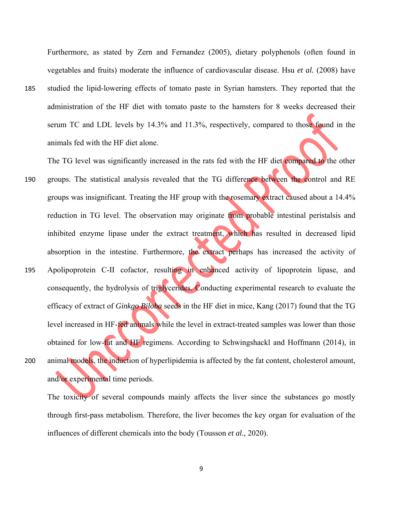Furthermore, as stated by Zern and Fernandez (2005), dietary polyphenols (often found in vegetables and fruits) moderate the influence of cardiovascular disease. Hsu *et al.* (2008) have 185 studied the lipid-lowering effects of tomato paste in Syrian hamsters. They reported that the administration of the HF diet with tomato paste to the hamsters for 8 weeks decreased their serum TC and LDL levels by 14.3% and 11.3%, respectively, compared to those found in the animals fed with the HF diet alone.

The TG level was significantly increased in the rats fed with the HF diet compared to the other 190 groups. The statistical analysis revealed that the TG difference between the control and RE groups was insignificant. Treating the HF group with the rosemary extract caused about a 14.4% reduction in TG level. The observation may originate from probable intestinal peristalsis and inhibited enzyme lipase under the extract treatment, which has resulted in decreased lipid absorption in the intestine. Furthermore, the extract perhaps has increased the activity of

195 Apolipoprotein C-II cofactor, resulting in enhanced activity of lipoprotein lipase, and consequently, the hydrolysis of triglycerides. Conducting experimental research to evaluate the efficacy of extract of *Ginkgo Biloba* seeds in the HF diet in mice, Kang (2017) found that the TG level increased in HF-fed animals while the level in extract-treated samples was lower than those obtained for low-fat and HF regimens. According to Schwingshackl and Hoffmann (2014), in 200 animal models, the induction of hyperlipidemia is affected by the fat content, cholesterol amount,

and/or experimental time periods.

The toxicity of several compounds mainly affects the liver since the substances go mostly through first-pass metabolism. Therefore, the liver becomes the key organ for evaluation of the influences of different chemicals into the body (Tousson *et al.,* 2020).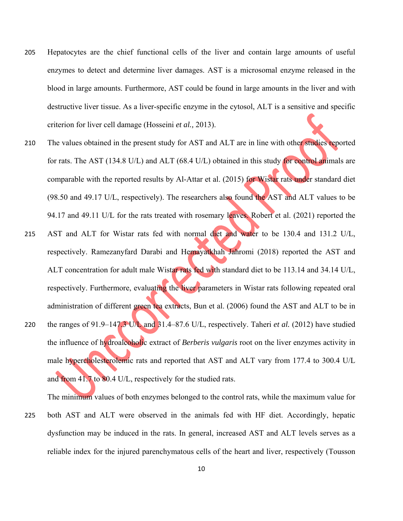- 205 Hepatocytes are the chief functional cells of the liver and contain large amounts of useful enzymes to detect and determine liver damages. AST is a microsomal enzyme released in the blood in large amounts. Furthermore, AST could be found in large amounts in the liver and with destructive liver tissue. As a liver-specific enzyme in the cytosol, ALT is a sensitive and specific criterion for liver cell damage (Hosseini *et al.,* 2013).
- 210 The values obtained in the present study for AST and ALT are in line with other studies reported for rats. The AST (134.8 U/L) and ALT (68.4 U/L) obtained in this study for control animals are comparable with the reported results by Al-Attar et al. (2015) for Wistar rats under standard diet (98.50 and 49.17 U/L, respectively). The researchers also found the AST and ALT values to be 94.17 and 49.11 U/L for the rats treated with rosemary leaves. Robert et al. (2021) reported the
- 215 AST and ALT for Wistar rats fed with normal diet and water to be 130.4 and 131.2 U/L, respectively. Ramezanyfard Darabi and Hemayatkhah Jahromi (2018) reported the AST and ALT concentration for adult male Wistar rats fed with standard diet to be 113.14 and 34.14 U/L, respectively. Furthermore, evaluating the liver parameters in Wistar rats following repeated oral administration of different green tea extracts, Bun et al. (2006) found the AST and ALT to be in 220 the ranges of 91.9‒147.3 U/L and 31.4‒87.6 U/L, respectively. Taheri *et al.* (2012) have studied
- the influence of hydroalcoholic extract of *Berberis vulgaris* root on the liver enzymes activity in male hypercholesterolemic rats and reported that AST and ALT vary from 177.4 to 300.4 U/L and from 41.7 to 80.4 U/L, respectively for the studied rats.

The minimum values of both enzymes belonged to the control rats, while the maximum value for

225 both AST and ALT were observed in the animals fed with HF diet. Accordingly, hepatic dysfunction may be induced in the rats. In general, increased AST and ALT levels serves as a reliable index for the injured parenchymatous cells of the heart and liver, respectively (Tousson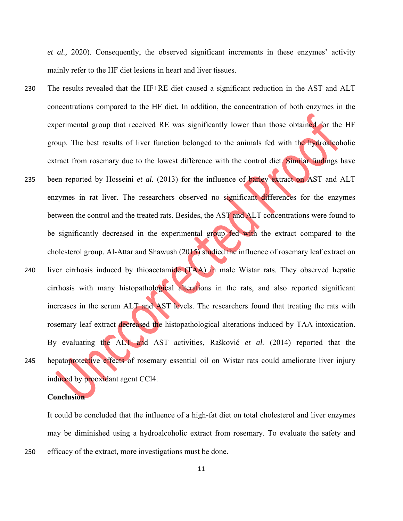*et al.,* 2020). Consequently, the observed significant increments in these enzymes' activity mainly refer to the HF diet lesions in heart and liver tissues.

- 230 The results revealed that the HF+RE diet caused a significant reduction in the AST and ALT concentrations compared to the HF diet. In addition, the concentration of both enzymes in the experimental group that received RE was significantly lower than those obtained for the HF group. The best results of liver function belonged to the animals fed with the hydroalcoholic extract from rosemary due to the lowest difference with the control diet. Similar findings have
- 235 been reported by Hosseini *et al.* (2013) for the influence of barley extract on AST and ALT enzymes in rat liver. The researchers observed no significant differences for the enzymes between the control and the treated rats. Besides, the AST and ALT concentrations were found to be significantly decreased in the experimental group fed with the extract compared to the cholesterol group. Al-Attar and Shawush (2015) studied the influence of rosemary leaf extract on
- 240 liver cirrhosis induced by thioacetamide (TAA) in male Wistar rats. They observed hepatic cirrhosis with many histopathological alterations in the rats, and also reported significant increases in the serum ALT and AST levels. The researchers found that treating the rats with rosemary leaf extract decreased the histopathological alterations induced by TAA intoxication. By evaluating the ALT and AST activities, Rašković *et al.* (2014) reported that the 245 hepatoprotective effects of rosemary essential oil on Wistar rats could ameliorate liver injury induced by prooxidant agent CCl4.

#### **Conclusion**

It could be concluded that the influence of a high-fat diet on total cholesterol and liver enzymes may be diminished using a hydroalcoholic extract from rosemary. To evaluate the safety and 250 efficacy of the extract, more investigations must be done.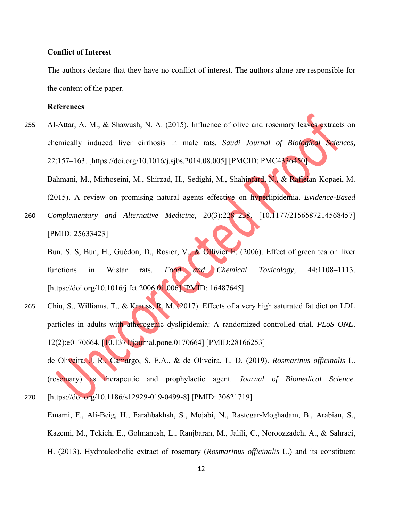#### **Conflict of Interest**

The authors declare that they have no conflict of interest. The authors alone are responsible for the content of the paper.

#### **References**

- 255 Al-Attar, A. M., & Shawush, N. A. (2015). Influence of olive and rosemary leaves extracts on chemically induced liver cirrhosis in male rats. *Saudi Journal of Biological Sciences,* 22:157‒163. [https://doi.org/10.1016/j.sjbs.2014.08.005] [PMCID: PMC4336450] Bahmani, M., Mirhoseini, M., Shirzad, H., Sedighi, M., Shahinfard, N., & Rafieian-Kopaei, M. (2015). A review on promising natural agents effective on hyperlipidemia. *Evidence-Based*
- 260 *Complementary and Alternative Medicine*, 20(3):228-238. [10.1177/2156587214568457] [PMID: 25633423]

Bun, S. S, Bun, H., Guédon, D., Rosier, V., & Ollivier E. (2006). Effect of green tea on liver functions in Wistar rats. *Food and Chemical Toxicology*, 44:1108-1113. [https://doi.org/10.1016/j.fct.2006.01.006] [PMID: 16487645]

265 Chiu, S., Williams, T., & Krauss, R. M. (2017). Effects of a very high saturated fat diet on LDL particles in adults with atherogenic dyslipidemia: A randomized controlled trial. *PLoS ONE*. 12(2):e0170664. [10.1371/journal.pone.0170664] [PMID:28166253]

de Oliveira, J. R., Camargo, S. E.A., & de Oliveira, L. D. (2019). *Rosmarinus officinalis* L. (rosemary) as therapeutic and prophylactic agent. *Journal of Biomedical Science.*  270 [https://doi.org/10.1186/s12929-019-0499-8] [PMID: 30621719]

Emami, F., Ali-Beig, H., Farahbakhsh, S., Mojabi, N., Rastegar-Moghadam, B., Arabian, S., Kazemi, M., Tekieh, E., Golmanesh, L., Ranjbaran, M., Jalili, C., Noroozzadeh, A., & Sahraei, H. (2013). Hydroalcoholic extract of rosemary (*Rosmarinus officinalis* L.) and its constituent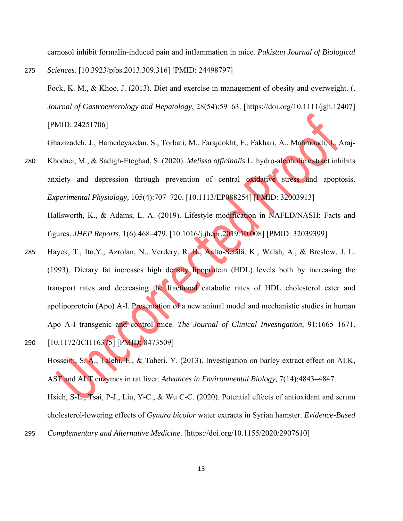carnosol inhibit formalin-induced pain and inflammation in mice. *Pakistan Journal of Biological* 

275 *Sciences*. [10.3923/pjbs.2013.309.316] [PMID: 24498797] Fock, K. M., & Khoo, J. (2013). Diet and exercise in management of obesity and overweight. (. *Journal of Gastroenterology and Hepatology*, 28(54):59‒63. [https://doi.org/10.1111/jgh.12407] [PMID: 24251706]

Ghazizadeh, J., Hamedeyazdan, S., Torbati, M., Farajdokht, F., Fakhari, A., Mahmoudi, J., Araj-

- 280 Khodaei, M., & Sadigh-Eteghad, S. (2020). *Melissa officinalis* L. hydro-alcoholic extract inhibits anxiety and depression through prevention of central oxidative stress and apoptosis. *Experimental Physiology,* 105(4):707‒720. [10.1113/EP088254] [PMID: 32003913] Hallsworth, K., & Adams, L. A. (2019). Lifestyle modification in NAFLD/NASH: Facts and figures. *JHEP Reports*, 1(6):468‒479. [10.1016/j.jhepr.2019.10.008] [PMID: 32039399]
- 285 Hayek, T., Ito,Y., Azrolan, N., Verdery, R. B., Aalto-Setälä, K., Walsh, A., & Breslow, J. L. (1993). Dietary fat increases high density lipoprotein (HDL) levels both by increasing the transport rates and decreasing the fractional catabolic rates of HDL cholesterol ester and apolipoprotein (Apo) A-I. Presentation of a new animal model and mechanistic studies in human Apo A-I transgenic and control mice. *The Journal of Clinical Investigation*, 91:1665–1671. 290 [10.1172/JCI116375] [PMID: 8473509]

Hosseini, S. A., Talebi, E., & Taheri, Y. (2013). Investigation on barley extract effect on ALK, AST and ALT enzymes in rat liver. *Advances in Environmental Biology*, 7(14):4843–4847. Hsieh, S-L., Tsai, P-J., Liu, Y-C., & Wu C-C. (2020). Potential effects of antioxidant and serum cholesterol-lowering effects of *Gynura bicolor* water extracts in Syrian hamster. *Evidence-Based*  295 *Complementary and Alternative Medicine*. [https://doi.org/10.1155/2020/2907610]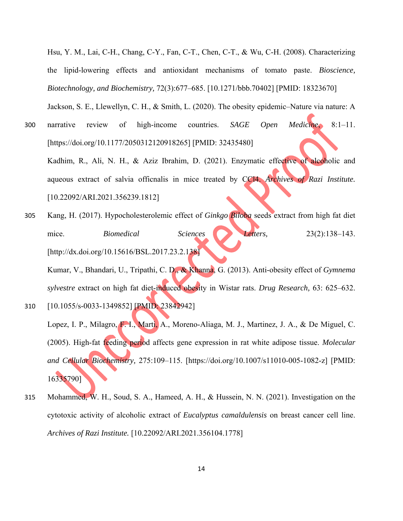Hsu, Y. M., Lai, C-H., Chang, C-Y., Fan, C-T., Chen, C-T., & Wu, C-H. (2008). Characterizing the lipid-lowering effects and antioxidant mechanisms of tomato paste. *Bioscience, Biotechnology, and Biochemistry,* 72(3):677–685. [10.1271/bbb.70402] [PMID: 18323670]

Jackson, S. E., Llewellyn, C. H., & Smith, L. (2020). The obesity epidemic-Nature via nature: A 300 narrative review of high-income countries. *SAGE Open Medicine*, 8:1‒11. [https://doi.org/10.1177/2050312120918265] [PMID: 32435480]

Kadhim, R., Ali, N. H., & Aziz Ibrahim, D. (2021). Enzymatic effective of alcoholic and aqueous extract of salvia officnalis in mice treated by CCl4. *Archives of Razi Institute.* [10.22092/ARI.2021.356239.1812]

305 Kang, H. (2017). Hypocholesterolemic effect of *Ginkgo Biloba* seeds extract from high fat diet mice. *Biomedical* Sciences Letters, 23(2):138–143. [http://dx.doi.org/10.15616/BSL.2017.23.2.138]

Kumar, V., Bhandari, U., Tripathi, C. D., & Khanna, G. (2013). Anti-obesity effect of *Gymnema sylvestre* extract on high fat diet-induced obesity in Wistar rats. *Drug Research,* 63: 625–632. 310 [10.1055/s-0033-1349852] [PMID: 23842942]

Lopez, I. P., Milagro, F. I., Marti, A., Moreno-Aliaga, M. J., Martinez, J. A., & De Miguel, C. (2005). High-fat feeding period affects gene expression in rat white adipose tissue. *Molecular*  and Cellular Biochemistry, 275:109-115. [https://doi.org/10.1007/s11010-005-1082-z] [PMID: 16335790]

315 Mohammed, W. H., Soud, S. A., Hameed, A. H., & Hussein, N. N. (2021). Investigation on the cytotoxic activity of alcoholic extract of *Eucalyptus camaldulensis* on breast cancer cell line. *Archives of Razi Institute.* [10.22092/ARI.2021.356104.1778]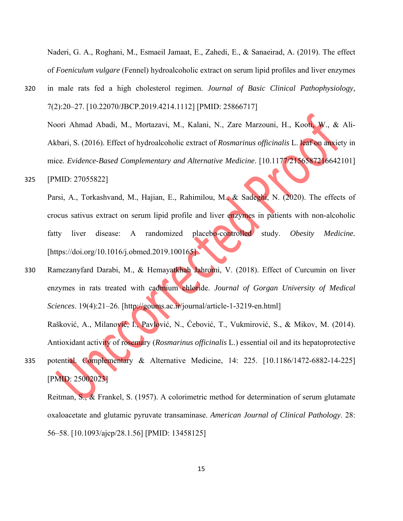Naderi, G. A., Roghani, M., Esmaeil Jamaat, E., Zahedi, E., & Sanaeirad, A. (2019). The effect of *Foeniculum vulgare* (Fennel) hydroalcoholic extract on serum lipid profiles and liver enzymes

- 320 in male rats fed a high cholesterol regimen. *Journal of Basic Clinical Pathophysiology,* 7(2):20‒27. [10.22070/JBCP.2019.4214.1112] [PMID: 25866717] Noori Ahmad Abadi, M., Mortazavi, M., Kalani, N., Zare Marzouni, H., Kooti, W., & Ali-Akbari, S. (2016). Effect of hydroalcoholic extract of *Rosmarinus officinalis* L. leaf on anxiety in mice. *Evidence-Based Complementary and Alternative Medicine*. [10.1177/2156587216642101]
- 325 [PMID: 27055822]

Parsi, A., Torkashvand, M., Hajian, E., Rahimilou, M., & Sadeghi, N. (2020). The effects of crocus sativus extract on serum lipid profile and liver enzymes in patients with non-alcoholic fatty liver disease: A randomized placebo-controlled study. *Obesity Medicine.* [https://doi.org/10.1016/j.obmed.2019.100165]

- 330 Ramezanyfard Darabi, M., & Hemayatkhah Jahromi, V. (2018). Effect of Curcumin on liver enzymes in rats treated with cadmium chloride. *Journal of Gorgan University of Medical Sciences*. 19(4):21‒26. [http://goums.ac.ir/journal/article-1-3219-en.html] Rašković, A., Milanović, I., Pavlović, N., Ćebović, T., Vukmirović, S., & Mikov, M. (2014).
	- Antioxidant activity of rosemary (*Rosmarinus officinalis* L.) essential oil and its hepatoprotective
- 335 potential. Complementary & Alternative Medicine, 14: 225. [10.1186/1472-6882-14-225] [PMID: 25002023]

Reitman, S., & Frankel, S. (1957). A colorimetric method for determination of serum glutamate oxaloacetate and glutamic pyruvate transaminase. *American Journal of Clinical Pathology*. 28: 56‒58. [10.1093/ajcp/28.1.56] [PMID: 13458125]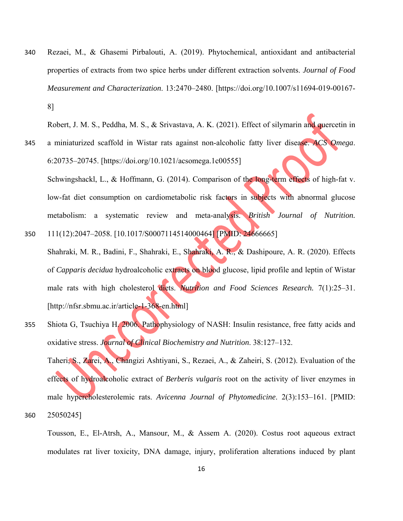340 Rezaei, M., & Ghasemi Pirbalouti, A. (2019). Phytochemical, antioxidant and antibacterial properties of extracts from two spice herbs under different extraction solvents. *Journal of Food Measurement and Characterization*. 13:2470‒2480. [https://doi.org/10.1007/s11694-019-00167- 8]

Robert, J. M. S., Peddha, M. S., & Srivastava, A. K. (2021). Effect of silymarin and quercetin in

- 345 a miniaturized scaffold in Wistar rats against non-alcoholic fatty liver disease. *ACS Omega*. 6:20735‒20745. [https://doi.org/10.1021/acsomega.1c00555] Schwingshackl, L., & Hoffmann, G. (2014). Comparison of the long-term effects of high-fat v. low-fat diet consumption on cardiometabolic risk factors in subjects with abnormal glucose metabolism: a systematic review and meta-analysis. *British Journal of Nutrition.*
- 350 111(12):2047‒2058. [10.1017/S0007114514000464] [PMID: 24666665] Shahraki, M. R., Badini, F., Shahraki, E., Shahraki, A. R., & Dashipoure, A. R. (2020). Effects of *Capparis decidua* hydroalcoholic extracts on blood glucose, lipid profile and leptin of Wistar male rats with high cholesterol diets. *Nutrition and Food Sciences Research*. 7(1):25-31. [http://nfsr.sbmu.ac.ir/article-1-368-en.html]
- 355 Shiota G, Tsuchiya H. 2006. Pathophysiology of NASH: Insulin resistance, free fatty acids and oxidative stress. *Journal of Clinical Biochemistry and Nutrition*. 38:127–132.

Taheri, S., Zarei, A., Changizi Ashtiyani, S., Rezaei, A., & Zaheiri, S. (2012). Evaluation of the effects of hydroalcoholic extract of *Berberis vulgaris* root on the activity of liver enzymes in male hypercholesterolemic rats. *Avicenna Journal of Phytomedicine*. 2(3):153–161. [PMID: 360 25050245]

Tousson, E., El-Atrsh, A., Mansour, M., & Assem A. (2020). Costus root aqueous extract modulates rat liver toxicity, DNA damage, injury, proliferation alterations induced by plant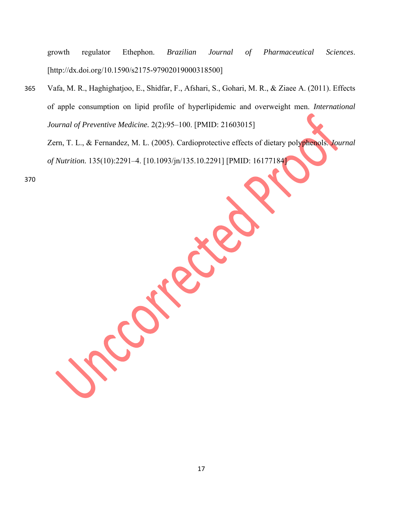growth regulator Ethephon. *Brazilian Journal of Pharmaceutical Sciences*. [http://dx.doi.org/10.1590/s2175-97902019000318500]

365 Vafa, M. R., Haghighatjoo, E., Shidfar, F., Afshari, S., Gohari, M. R., & Ziaee A. (2011). Effects of apple consumption on lipid profile of hyperlipidemic and overweight men. *International Journal of Preventive Medicine.* 2(2):95-100. [PMID: 21603015]

Zern, T. L., & Fernandez, M. L. (2005). Cardioprotective effects of dietary polyphenols. *Journal of Nutrition.* 135(10):2291–4. [10.1093/jn/135.10.2291] [PMID: 16177184]

370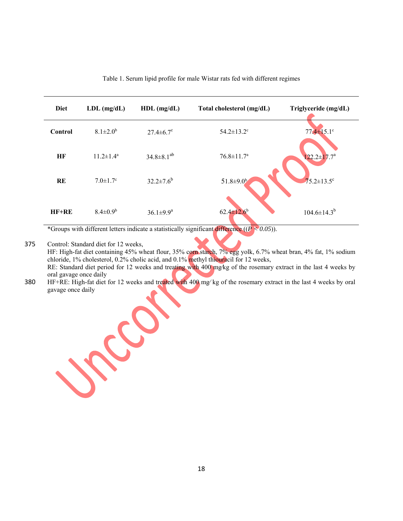| <b>Diet</b> | $LDL$ (mg/dL)              | $HDL$ (mg/dL)       | Total cholesterol (mg/dL)    | Triglyceride (mg/dL) |
|-------------|----------------------------|---------------------|------------------------------|----------------------|
| Control     | $8.1 \pm 2.0^b$            | $27.4 \pm 6.7$ °    | $54.2 \pm 13.2$ <sup>c</sup> | $77.4 \pm 15.1$ °    |
| HF          | $11.2 \pm 1.4^a$           | $34.8 \pm 8.1^{ab}$ | $76.8 \pm 11.7^{\rm a}$      | $122.2 \pm 17.7^a$   |
| <b>RE</b>   | $7.0 \pm 1.7$ <sup>c</sup> | $32.2 \pm 7.6^b$    | $51.8 \pm 9.0^{\circ}$       | $75.2 \pm 13.5$ °    |
| $HF+RE$     | $8.4 \pm 0.9^b$            | $36.1 \pm 9.9^a$    | $62.4 \pm 12.6^b$            | $104.6 \pm 14.3^{b}$ |

Table 1. Serum lipid profile for male Wistar rats fed with different regimes

\*Groups with different letters indicate a statistically significant difference  $((P < 0.05))$ .

Roy

375 Control: Standard diet for 12 weeks,

HF: High-fat diet containing 45% wheat flour, 35% corn starch, 7% egg yolk, 6.7% wheat bran, 4% fat, 1% sodium chloride, 1% cholesterol, 0.2% cholic acid, and 0.1% methyl thiouracil for 12 weeks, RE: Standard diet period for 12 weeks and treating with 400 mg/kg of the rosemary extract in the last 4 weeks by

oral gavage once daily 380 HF+RE: High-fat diet for 12 weeks and treated with 400 mg∕ kg of the rosemary extract in the last 4 weeks by oral gavage once daily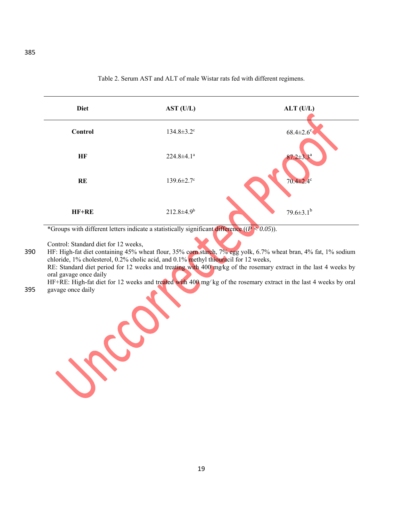Diet AST (U/L) ALT (U/L) **Control 134.8** $\pm$ 3.2<sup>c</sup> 68.4 $\pm$ 2.6<sup>c</sup> **HF**  $224.8 \pm 4.1^a$ **RE**  $139.6 \pm 2.7^c$   $70.4 \pm 2.4^c$ **HF+RE** 212.8±4.9<sup>b</sup> 79.6±3.1<sup>b</sup>

Table 2. Serum AST and ALT of male Wistar rats fed with different regimens.

\*Groups with different letters indicate a statistically significant difference ((*P < 0.05*)).

Control: Standard diet for 12 weeks,

390 HF: High-fat diet containing 45% wheat flour, 35% corn starch, 7% egg yolk, 6.7% wheat bran, 4% fat, 1% sodium chloride, 1% cholesterol, 0.2% cholic acid, and 0.1% methyl thiouracil for 12 weeks, RE: Standard diet period for 12 weeks and treating with 400 mg/kg of the rosemary extract in the last 4 weeks by oral gavage once daily HF+RE: High-fat diet for 12 weeks and treated with 400 mg∕ kg of the rosemary extract in the last 4 weeks by oral

### 395 gavage once daily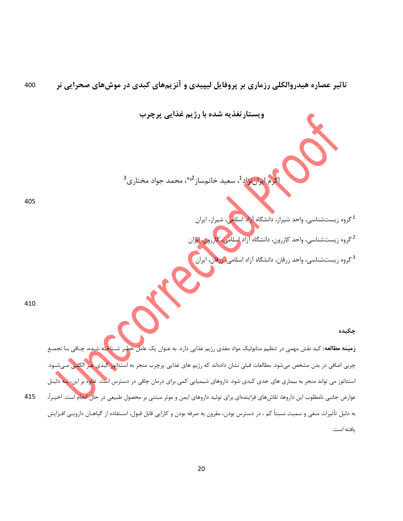**تاثير عصاره هيدروالكلي رزماري بر پروفايل ليپيدي و آنزيمهاي كبدي در موشهاي صحرايي نر** 400

**ويستارتغذيه شده با رژيم غذايي پرچرب**

اكرم ايراننژاد<sup>1</sup>، سعيد خاتمساز <sup>2و</sup>\*، محمد جواد مختاري<sup>3</sup>

405

<sup>1</sup> گروه زيستشناسي، واحد شيراز، دانشگاه آزاد اسلل<mark>مي</mark>، شيراز، ايران

<sup>2</sup> گروه زيستشناسي، واحد كازرون، دانشگاه آزاد اسلامي، كازرون، ايران

<sup>3</sup> گروه زيستشناسي، واحد زرقان، دانشگاه آزاد اسلامي<mark>، زرقا</mark>ن، ايران

410 

#### **چكيده**

**زمينه مطالعه:** كبد نقش مهمي در تنظيم متابوليك مواد مغذي رژيم غذايي دارد. به عنوان يك عامل خطـر شـناخته ش<u>ـ</u>ده، چـاقي چربي اضافي در بدن مشخص ميشود. مطالعات قبلي نشان دادهاند كه رژيم هاي غذايي پرچرب منجر به استئاتوز كبدي غير الكلـي مـيشـود. استئاتوز مي تواند منجر به بيماري هاي جدي كبدي شود. داروهاي شيميايي كمي براي درمان چاقي در دسترس است. علاوه بر اين، بـه دليـل عوارض جانبي نامطلوب اين داروها، تلاشهاي فزايندهاي براي توليد داروهاي ايمن و موثر مبتني بر محصول طبيعي در حال انجام است. اخيـرا،ً 415 به دليل تأثيرات منفي و سميت نسبتاً كم ، در دسترس بودن، مقرون به صرفه بودن و كارايي قابل قبول، اسـتفاده از گياهـان دارويـي افـزايش يافته است.